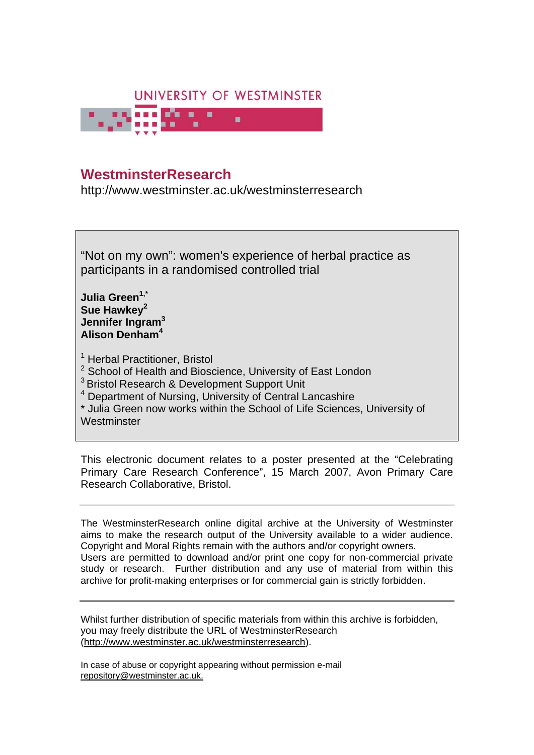

# **WestminsterResearch**

http://www.westminster.ac.uk/westminsterresearch

"Not on my own": women's experience of herbal practice as participants in a randomised controlled trial

**Julia Green1,\* Sue Hawkey2 Jennifer Ingram<sup>3</sup> Alison Denham<sup>4</sup>**

<sup>1</sup> Herbal Practitioner, Bristol

<sup>2</sup> School of Health and Bioscience, University of East London

<sup>3</sup> Bristol Research & Development Support Unit

4 Department of Nursing, University of Central Lancashire

\* Julia Green now works within the School of Life Sciences, University of **Westminster** 

This electronic document relates to a poster presented at the "Celebrating Primary Care Research Conference", 15 March 2007, Avon Primary Care Research Collaborative, Bristol.

The WestminsterResearch online digital archive at the University of Westminster aims to make the research output of the University available to a wider audience. Copyright and Moral Rights remain with the authors and/or copyright owners. Users are permitted to download and/or print one copy for non-commercial private study or research. Further distribution and any use of material from within this archive for profit-making enterprises or for commercial gain is strictly forbidden.

Whilst further distribution of specific materials from within this archive is forbidden, you may freely distribute the URL of WestminsterResearch (http://www.westminster.ac.uk/westminsterresearch).

In case of abuse or copyright appearing without permission e-mail repository@westminster.ac.uk.